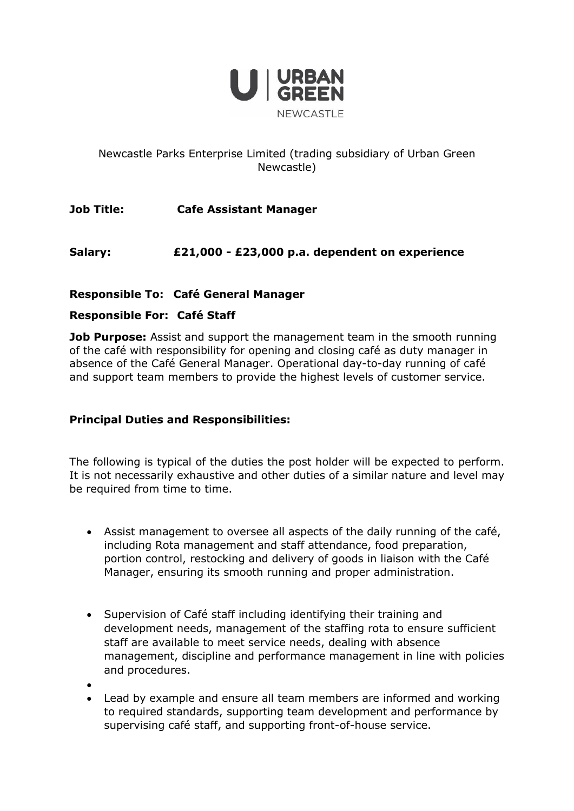

## Newcastle Parks Enterprise Limited (trading subsidiary of Urban Green Newcastle)

**Job Title: Cafe Assistant Manager**

## **Salary: £21,000 - £23,000 p.a. dependent on experience**

## **Responsible To: Café General Manager**

#### **Responsible For: Café Staff**

**Job Purpose:** Assist and support the management team in the smooth running of the café with responsibility for opening and closing café as duty manager in absence of the Café General Manager. Operational day-to-day running of café and support team members to provide the highest levels of customer service.

#### **Principal Duties and Responsibilities:**

The following is typical of the duties the post holder will be expected to perform. It is not necessarily exhaustive and other duties of a similar nature and level may be required from time to time.

- Assist management to oversee all aspects of the daily running of the café, including Rota management and staff attendance, food preparation, portion control, restocking and delivery of goods in liaison with the Café Manager, ensuring its smooth running and proper administration.
- Supervision of Café staff including identifying their training and development needs, management of the staffing rota to ensure sufficient staff are available to meet service needs, dealing with absence management, discipline and performance management in line with policies and procedures.
- •
- Lead by example and ensure all team members are informed and working to required standards, supporting team development and performance by supervising café staff, and supporting front-of-house service.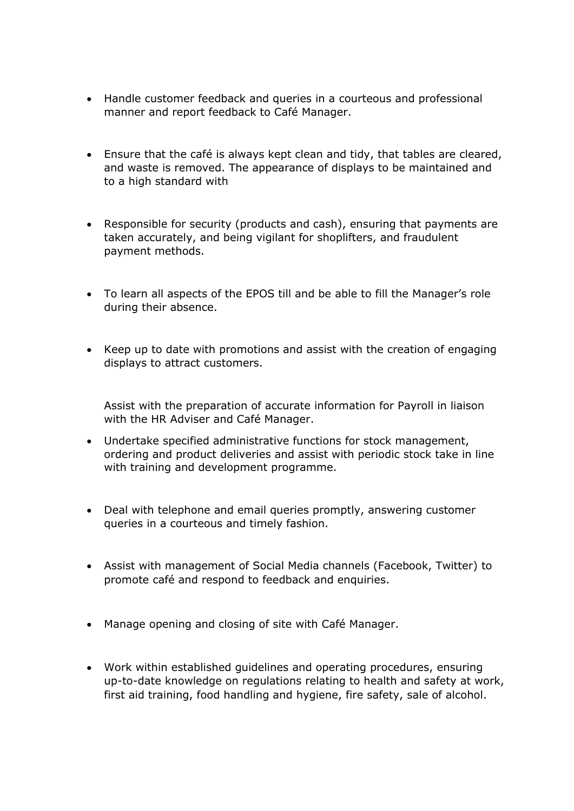- Handle customer feedback and queries in a courteous and professional manner and report feedback to Café Manager.
- Ensure that the café is always kept clean and tidy, that tables are cleared, and waste is removed. The appearance of displays to be maintained and to a high standard with
- Responsible for security (products and cash), ensuring that payments are taken accurately, and being vigilant for shoplifters, and fraudulent payment methods.
- To learn all aspects of the EPOS till and be able to fill the Manager's role during their absence.
- Keep up to date with promotions and assist with the creation of engaging displays to attract customers.

Assist with the preparation of accurate information for Payroll in liaison with the HR Adviser and Café Manager.

- Undertake specified administrative functions for stock management, ordering and product deliveries and assist with periodic stock take in line with training and development programme.
- Deal with telephone and email queries promptly, answering customer queries in a courteous and timely fashion.
- Assist with management of Social Media channels (Facebook, Twitter) to promote café and respond to feedback and enquiries.
- Manage opening and closing of site with Café Manager.
- Work within established guidelines and operating procedures, ensuring up-to-date knowledge on regulations relating to health and safety at work, first aid training, food handling and hygiene, fire safety, sale of alcohol.